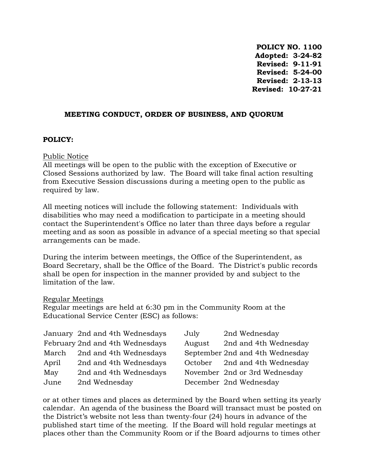**POLICY NO. 1100 Adopted: 3-24-82 Revised: 9-11-91 Revised: 5-24-00 Revised: 2-13-13 Revised: 10-27-21**

### **MEETING CONDUCT, ORDER OF BUSINESS, AND QUORUM**

#### **POLICY:**

#### Public Notice

All meetings will be open to the public with the exception of Executive or Closed Sessions authorized by law. The Board will take final action resulting from Executive Session discussions during a meeting open to the public as required by law.

All meeting notices will include the following statement: Individuals with disabilities who may need a modification to participate in a meeting should contact the Superintendent's Office no later than three days before a regular meeting and as soon as possible in advance of a special meeting so that special arrangements can be made.

During the interim between meetings, the Office of the Superintendent, as Board Secretary, shall be the Office of the Board. The District's public records shall be open for inspection in the manner provided by and subject to the limitation of the law.

#### Regular Meetings

Regular meetings are held at 6:30 pm in the Community Room at the Educational Service Center (ESC) as follows:

|       | January 2nd and 4th Wednesdays  | July   | 2nd Wednesday                   |
|-------|---------------------------------|--------|---------------------------------|
|       | February 2nd and 4th Wednesdays | August | 2nd and 4th Wednesday           |
| March | 2nd and 4th Wednesdays          |        | September 2nd and 4th Wednesday |
| April | 2nd and 4th Wednesdays          |        | October 2nd and 4th Wednesday   |
| May   | 2nd and 4th Wednesdays          |        | November 2nd or 3rd Wednesday   |
| June  | 2nd Wednesday                   |        | December 2nd Wednesday          |

or at other times and places as determined by the Board when setting its yearly calendar. An agenda of the business the Board will transact must be posted on the District's website not less than twenty-four (24) hours in advance of the published start time of the meeting. If the Board will hold regular meetings at places other than the Community Room or if the Board adjourns to times other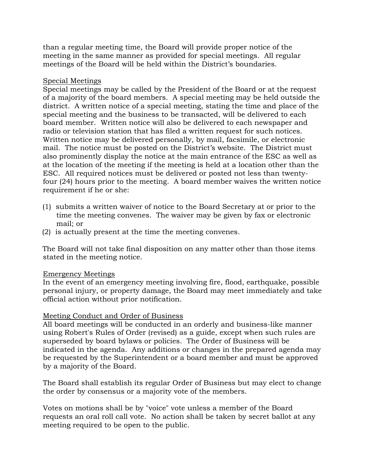than a regular meeting time, the Board will provide proper notice of the meeting in the same manner as provided for special meetings. All regular meetings of the Board will be held within the District's boundaries.

## Special Meetings

Special meetings may be called by the President of the Board or at the request of a majority of the board members. A special meeting may be held outside the district. A written notice of a special meeting, stating the time and place of the special meeting and the business to be transacted, will be delivered to each board member. Written notice will also be delivered to each newspaper and radio or television station that has filed a written request for such notices. Written notice may be delivered personally, by mail, facsimile, or electronic mail. The notice must be posted on the District's website. The District must also prominently display the notice at the main entrance of the ESC as well as at the location of the meeting if the meeting is held at a location other than the ESC. All required notices must be delivered or posted not less than twentyfour (24) hours prior to the meeting. A board member waives the written notice requirement if he or she:

- (1) submits a written waiver of notice to the Board Secretary at or prior to the time the meeting convenes. The waiver may be given by fax or electronic mail; or
- (2) is actually present at the time the meeting convenes.

The Board will not take final disposition on any matter other than those items stated in the meeting notice.

### Emergency Meetings

In the event of an emergency meeting involving fire, flood, earthquake, possible personal injury, or property damage, the Board may meet immediately and take official action without prior notification.

### Meeting Conduct and Order of Business

All board meetings will be conducted in an orderly and business-like manner using Robert's Rules of Order (revised) as a guide, except when such rules are superseded by board bylaws or policies. The Order of Business will be indicated in the agenda. Any additions or changes in the prepared agenda may be requested by the Superintendent or a board member and must be approved by a majority of the Board.

The Board shall establish its regular Order of Business but may elect to change the order by consensus or a majority vote of the members.

Votes on motions shall be by "voice" vote unless a member of the Board requests an oral roll call vote. No action shall be taken by secret ballot at any meeting required to be open to the public.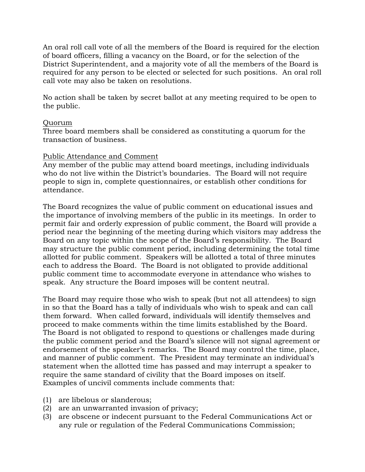An oral roll call vote of all the members of the Board is required for the election of board officers, filling a vacancy on the Board, or for the selection of the District Superintendent, and a majority vote of all the members of the Board is required for any person to be elected or selected for such positions. An oral roll call vote may also be taken on resolutions.

No action shall be taken by secret ballot at any meeting required to be open to the public.

### Quorum

Three board members shall be considered as constituting a quorum for the transaction of business.

### Public Attendance and Comment

Any member of the public may attend board meetings, including individuals who do not live within the District's boundaries. The Board will not require people to sign in, complete questionnaires, or establish other conditions for attendance.

The Board recognizes the value of public comment on educational issues and the importance of involving members of the public in its meetings. In order to permit fair and orderly expression of public comment, the Board will provide a period near the beginning of the meeting during which visitors may address the Board on any topic within the scope of the Board's responsibility. The Board may structure the public comment period, including determining the total time allotted for public comment. Speakers will be allotted a total of three minutes each to address the Board. The Board is not obligated to provide additional public comment time to accommodate everyone in attendance who wishes to speak. Any structure the Board imposes will be content neutral.

The Board may require those who wish to speak (but not all attendees) to sign in so that the Board has a tally of individuals who wish to speak and can call them forward. When called forward, individuals will identify themselves and proceed to make comments within the time limits established by the Board. The Board is not obligated to respond to questions or challenges made during the public comment period and the Board's silence will not signal agreement or endorsement of the speaker's remarks. The Board may control the time, place, and manner of public comment. The President may terminate an individual's statement when the allotted time has passed and may interrupt a speaker to require the same standard of civility that the Board imposes on itself. Examples of uncivil comments include comments that:

- (1) are libelous or slanderous;
- (2) are an unwarranted invasion of privacy;
- (3) are obscene or indecent pursuant to the Federal Communications Act or any rule or regulation of the Federal Communications Commission;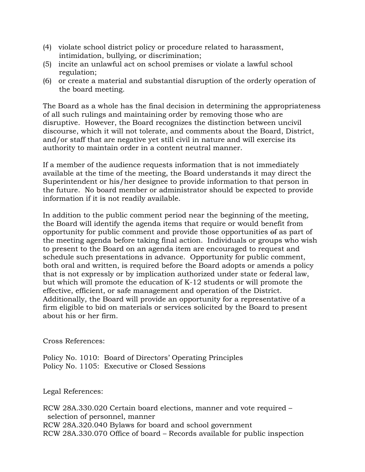- (4) violate school district policy or procedure related to harassment, intimidation, bullying, or discrimination;
- (5) incite an unlawful act on school premises or violate a lawful school regulation;
- (6) or create a material and substantial disruption of the orderly operation of the board meeting.

The Board as a whole has the final decision in determining the appropriateness of all such rulings and maintaining order by removing those who are disruptive. However, the Board recognizes the distinction between uncivil discourse, which it will not tolerate, and comments about the Board, District, and/or staff that are negative yet still civil in nature and will exercise its authority to maintain order in a content neutral manner.

If a member of the audience requests information that is not immediately available at the time of the meeting, the Board understands it may direct the Superintendent or his/her designee to provide information to that person in the future. No board member or administrator should be expected to provide information if it is not readily available.

In addition to the public comment period near the beginning of the meeting, the Board will identify the agenda items that require or would benefit from opportunity for public comment and provide those opportunities of as part of the meeting agenda before taking final action. Individuals or groups who wish to present to the Board on an agenda item are encouraged to request and schedule such presentations in advance. Opportunity for public comment, both oral and written, is required before the Board adopts or amends a policy that is not expressly or by implication authorized under state or federal law, but which will promote the education of K-12 students or will promote the effective, efficient, or safe management and operation of the District. Additionally, the Board will provide an opportunity for a representative of a firm eligible to bid on materials or services solicited by the Board to present about his or her firm.

Cross References:

Policy No. 1010: Board of Directors' Operating Principles Policy No. 1105: Executive or Closed Sessions

Legal References:

RCW 28A.330.020 Certain board elections, manner and vote required – selection of personnel, manner RCW 28A.320.040 Bylaws for board and school government RCW 28A.330.070 Office of board – Records available for public inspection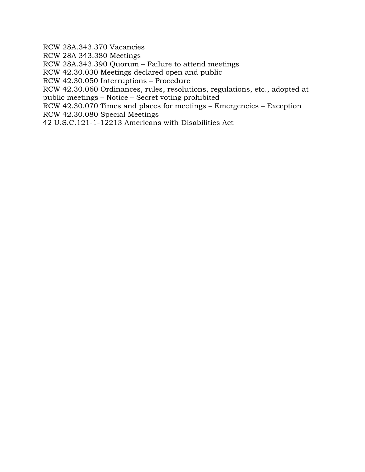RCW 28A.343.370 Vacancies

RCW 28A 343.380 Meetings

RCW 28A.343.390 Quorum – Failure to attend meetings

RCW 42.30.030 Meetings declared open and public

RCW 42.30.050 Interruptions – Procedure

RCW 42.30.060 Ordinances, rules, resolutions, regulations, etc., adopted at public meetings – Notice – Secret voting prohibited

RCW 42.30.070 Times and places for meetings – Emergencies – Exception

RCW 42.30.080 Special Meetings

42 U.S.C.121-1-12213 Americans with Disabilities Act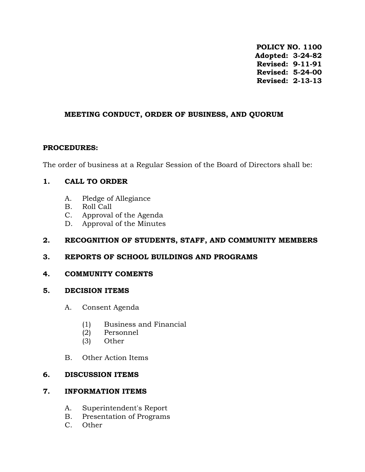**POLICY NO. 1100 Adopted: 3-24-82 Revised: 9-11-91 Revised: 5-24-00 Revised: 2-13-13** 

### **MEETING CONDUCT, ORDER OF BUSINESS, AND QUORUM**

## **PROCEDURES:**

The order of business at a Regular Session of the Board of Directors shall be:

# **1. CALL TO ORDER**

- A. Pledge of Allegiance
- B. Roll Call
- C. Approval of the Agenda
- D. Approval of the Minutes

## **2. RECOGNITION OF STUDENTS, STAFF, AND COMMUNITY MEMBERS**

# **3. REPORTS OF SCHOOL BUILDINGS AND PROGRAMS**

# **4. COMMUNITY COMENTS**

### **5. DECISION ITEMS**

- A. Consent Agenda
	- (1) Business and Financial
	- (2) Personnel
	- (3) Other
- B. Other Action Items

### **6. DISCUSSION ITEMS**

# **7. INFORMATION ITEMS**

- A. Superintendent's Report
- B. Presentation of Programs
- C. Other